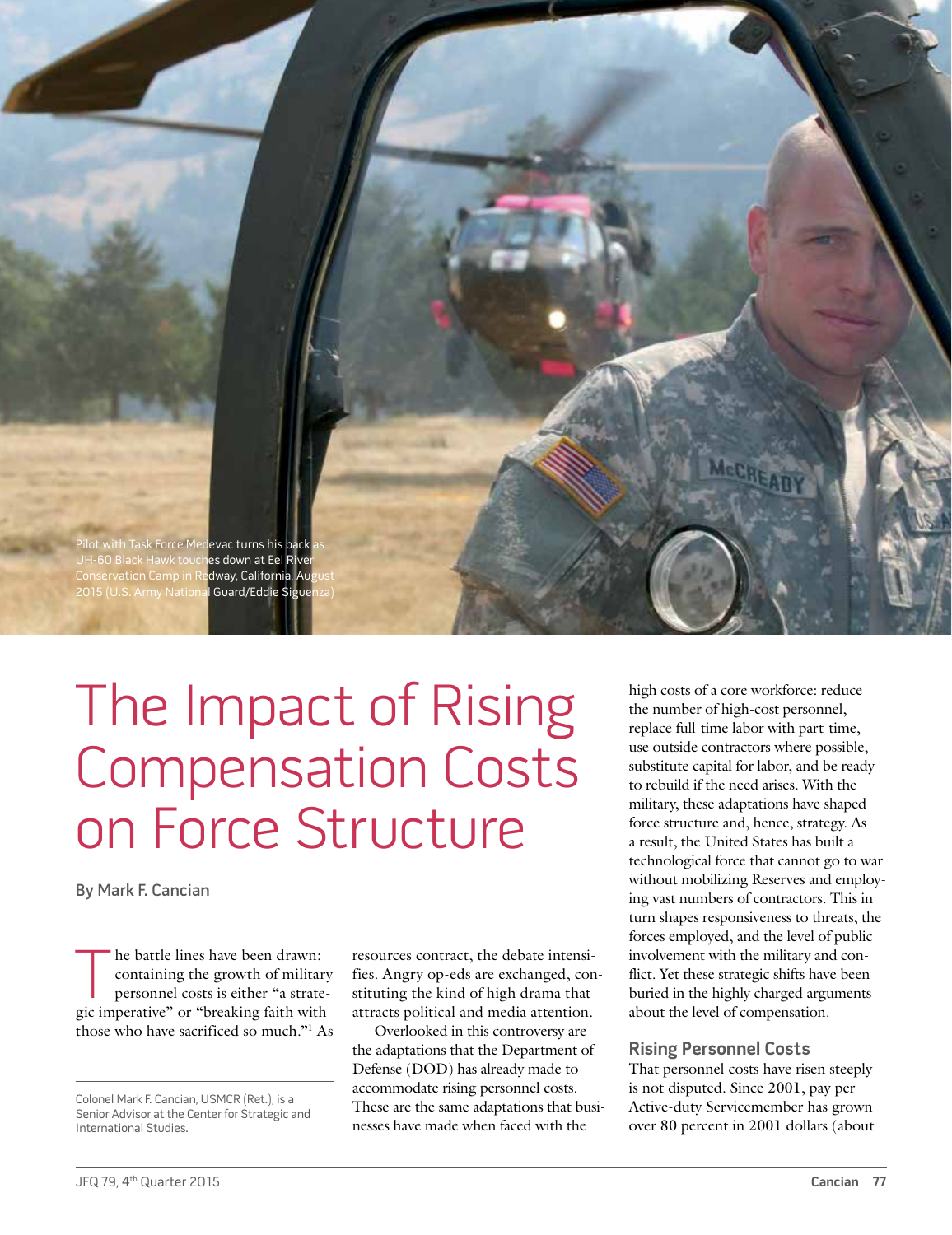

# The Impact of Rising Compensation Costs on Force Structure

By Mark F. Cancian

The battle lines have been drawn:<br>
containing the growth of militar<br>
personnel costs is either "a strate<br>
vic imperative" or "breaking faith with containing the growth of military personnel costs is either "a strategic imperative" or "breaking faith with those who have sacrificed so much."1 As resources contract, the debate intensifies. Angry op-eds are exchanged, constituting the kind of high drama that attracts political and media attention.

Overlooked in this controversy are the adaptations that the Department of Defense (DOD) has already made to accommodate rising personnel costs. These are the same adaptations that businesses have made when faced with the

high costs of a core workforce: reduce the number of high-cost personnel, replace full-time labor with part-time, use outside contractors where possible, substitute capital for labor, and be ready to rebuild if the need arises. With the military, these adaptations have shaped force structure and, hence, strategy. As a result, the United States has built a technological force that cannot go to war without mobilizing Reserves and employing vast numbers of contractors. This in turn shapes responsiveness to threats, the forces employed, and the level of public involvement with the military and conflict. Yet these strategic shifts have been buried in the highly charged arguments about the level of compensation.

### **Rising Personnel Costs**

That personnel costs have risen steeply is not disputed. Since 2001, pay per Active-duty Servicemember has grown over 80 percent in 2001 dollars (about

Colonel Mark F. Cancian, USMCR (Ret.), is a Senior Advisor at the Center for Strategic and International Studies.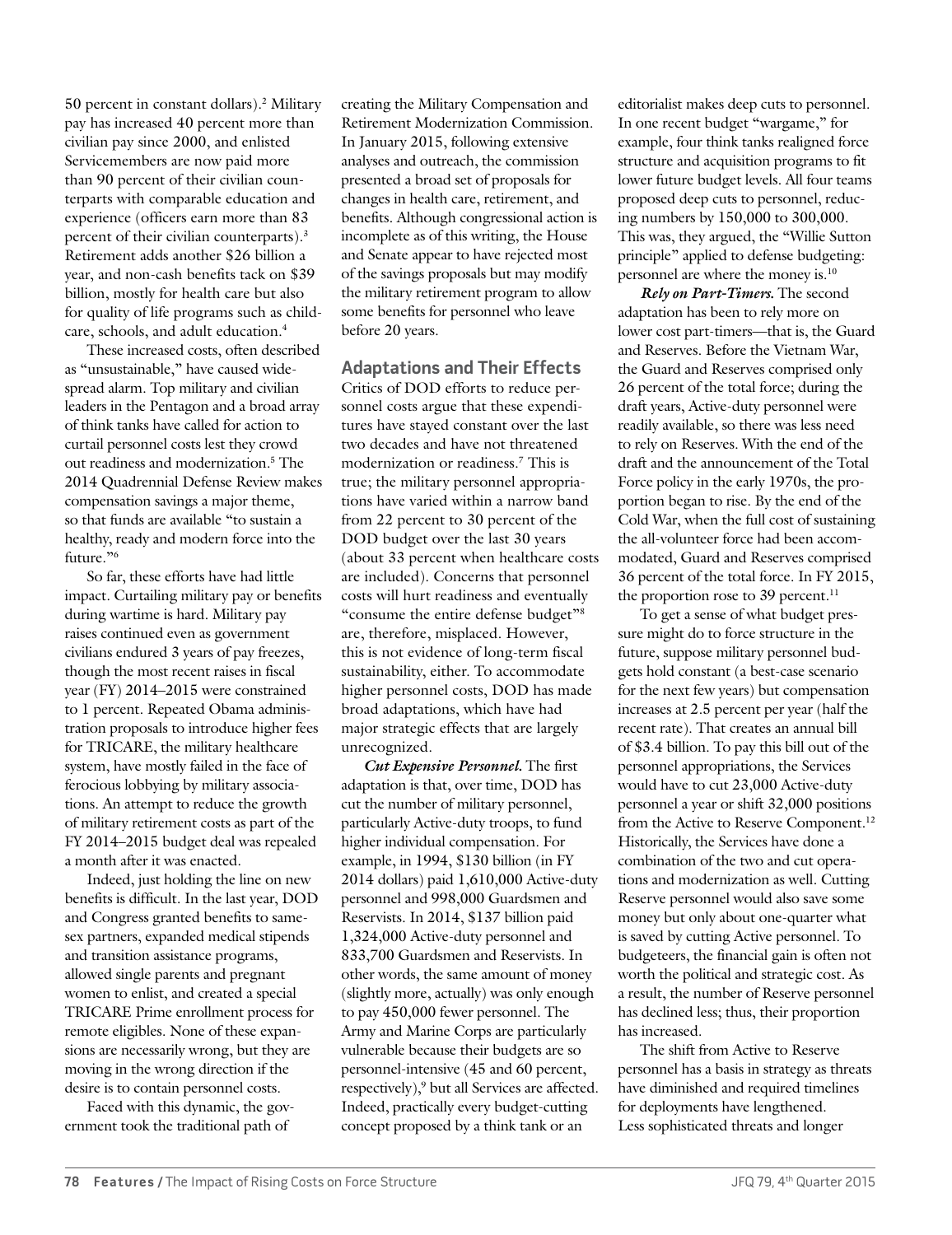50 percent in constant dollars).2 Military pay has increased 40 percent more than civilian pay since 2000, and enlisted Servicemembers are now paid more than 90 percent of their civilian counterparts with comparable education and experience (officers earn more than 83 percent of their civilian counterparts).3 Retirement adds another \$26 billion a year, and non-cash benefits tack on \$39 billion, mostly for health care but also for quality of life programs such as childcare, schools, and adult education.4

These increased costs, often described as "unsustainable," have caused widespread alarm. Top military and civilian leaders in the Pentagon and a broad array of think tanks have called for action to curtail personnel costs lest they crowd out readiness and modernization.5 The 2014 Quadrennial Defense Review makes compensation savings a major theme, so that funds are available "to sustain a healthy, ready and modern force into the future."6

So far, these efforts have had little impact. Curtailing military pay or benefits during wartime is hard. Military pay raises continued even as government civilians endured 3 years of pay freezes, though the most recent raises in fiscal year (FY) 2014–2015 were constrained to 1 percent. Repeated Obama administration proposals to introduce higher fees for TRICARE, the military healthcare system, have mostly failed in the face of ferocious lobbying by military associations. An attempt to reduce the growth of military retirement costs as part of the FY 2014–2015 budget deal was repealed a month after it was enacted.

Indeed, just holding the line on new benefits is difficult. In the last year, DOD and Congress granted benefits to samesex partners, expanded medical stipends and transition assistance programs, allowed single parents and pregnant women to enlist, and created a special TRICARE Prime enrollment process for remote eligibles. None of these expansions are necessarily wrong, but they are moving in the wrong direction if the desire is to contain personnel costs.

Faced with this dynamic, the government took the traditional path of

creating the Military Compensation and Retirement Modernization Commission. In January 2015, following extensive analyses and outreach, the commission presented a broad set of proposals for changes in health care, retirement, and benefits. Although congressional action is incomplete as of this writing, the House and Senate appear to have rejected most of the savings proposals but may modify the military retirement program to allow some benefits for personnel who leave before 20 years.

**Adaptations and Their Effects**

Critics of DOD efforts to reduce personnel costs argue that these expenditures have stayed constant over the last two decades and have not threatened modernization or readiness.7 This is true; the military personnel appropriations have varied within a narrow band from 22 percent to 30 percent of the DOD budget over the last 30 years (about 33 percent when healthcare costs are included). Concerns that personnel costs will hurt readiness and eventually "consume the entire defense budget"8 are, therefore, misplaced. However, this is not evidence of long-term fiscal sustainability, either. To accommodate higher personnel costs, DOD has made broad adaptations, which have had major strategic effects that are largely unrecognized.

*Cut Expensive Personnel.* The first adaptation is that, over time, DOD has cut the number of military personnel, particularly Active-duty troops, to fund higher individual compensation. For example, in 1994, \$130 billion (in FY 2014 dollars) paid 1,610,000 Active-duty personnel and 998,000 Guardsmen and Reservists. In 2014, \$137 billion paid 1,324,000 Active-duty personnel and 833,700 Guardsmen and Reservists. In other words, the same amount of money (slightly more, actually) was only enough to pay 450,000 fewer personnel. The Army and Marine Corps are particularly vulnerable because their budgets are so personnel-intensive (45 and 60 percent, respectively),<sup>9</sup> but all Services are affected. Indeed, practically every budget-cutting concept proposed by a think tank or an

editorialist makes deep cuts to personnel. In one recent budget "wargame," for example, four think tanks realigned force structure and acquisition programs to fit lower future budget levels. All four teams proposed deep cuts to personnel, reducing numbers by 150,000 to 300,000. This was, they argued, the "Willie Sutton principle" applied to defense budgeting: personnel are where the money is.10

*Rely on Part-Timers.* The second adaptation has been to rely more on lower cost part-timers—that is, the Guard and Reserves. Before the Vietnam War, the Guard and Reserves comprised only 26 percent of the total force; during the draft years, Active-duty personnel were readily available, so there was less need to rely on Reserves. With the end of the draft and the announcement of the Total Force policy in the early 1970s, the proportion began to rise. By the end of the Cold War, when the full cost of sustaining the all-volunteer force had been accommodated, Guard and Reserves comprised 36 percent of the total force. In FY 2015, the proportion rose to 39 percent.<sup>11</sup>

To get a sense of what budget pressure might do to force structure in the future, suppose military personnel budgets hold constant (a best-case scenario for the next few years) but compensation increases at 2.5 percent per year (half the recent rate). That creates an annual bill of \$3.4 billion. To pay this bill out of the personnel appropriations, the Services would have to cut 23,000 Active-duty personnel a year or shift 32,000 positions from the Active to Reserve Component.<sup>12</sup> Historically, the Services have done a combination of the two and cut operations and modernization as well. Cutting Reserve personnel would also save some money but only about one-quarter what is saved by cutting Active personnel. To budgeteers, the financial gain is often not worth the political and strategic cost. As a result, the number of Reserve personnel has declined less; thus, their proportion has increased.

The shift from Active to Reserve personnel has a basis in strategy as threats have diminished and required timelines for deployments have lengthened. Less sophisticated threats and longer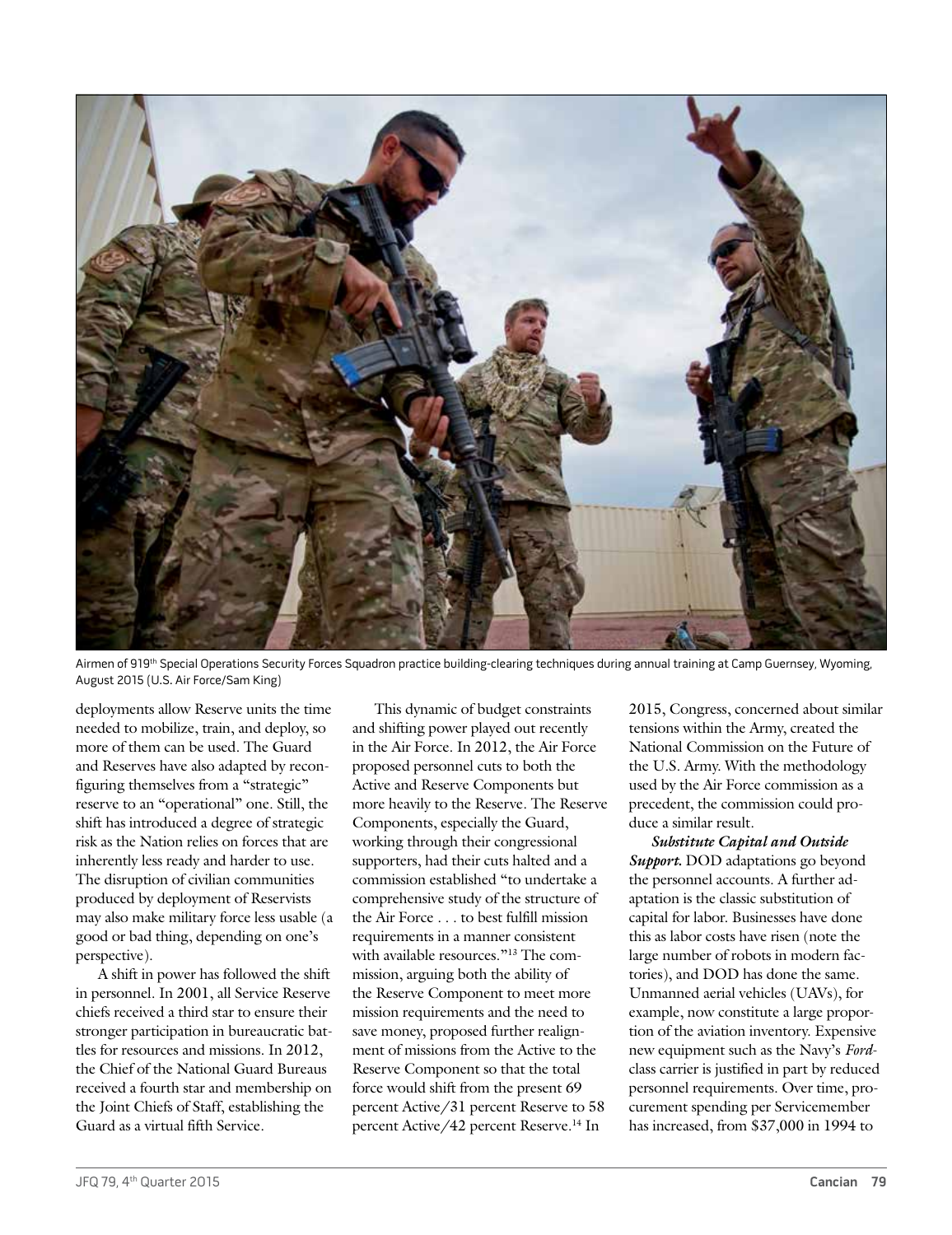

Airmen of 919<sup>th</sup> Special Operations Security Forces Squadron practice building-clearing techniques during annual training at Camp Guernsey, Wyoming, August 2015 (U.S. Air Force/Sam King)

deployments allow Reserve units the time needed to mobilize, train, and deploy, so more of them can be used. The Guard and Reserves have also adapted by reconfiguring themselves from a "strategic" reserve to an "operational" one. Still, the shift has introduced a degree of strategic risk as the Nation relies on forces that are inherently less ready and harder to use. The disruption of civilian communities produced by deployment of Reservists may also make military force less usable (a good or bad thing, depending on one's perspective).

A shift in power has followed the shift in personnel. In 2001, all Service Reserve chiefs received a third star to ensure their stronger participation in bureaucratic battles for resources and missions. In 2012, the Chief of the National Guard Bureaus received a fourth star and membership on the Joint Chiefs of Staff, establishing the Guard as a virtual fifth Service.

This dynamic of budget constraints and shifting power played out recently in the Air Force. In 2012, the Air Force proposed personnel cuts to both the Active and Reserve Components but more heavily to the Reserve. The Reserve Components, especially the Guard, working through their congressional supporters, had their cuts halted and a commission established "to undertake a comprehensive study of the structure of the Air Force . . . to best fulfill mission requirements in a manner consistent with available resources."<sup>13</sup> The commission, arguing both the ability of the Reserve Component to meet more mission requirements and the need to save money, proposed further realignment of missions from the Active to the Reserve Component so that the total force would shift from the present 69 percent Active/31 percent Reserve to 58 percent Active/42 percent Reserve.14 In

2015, Congress, concerned about similar tensions within the Army, created the National Commission on the Future of the U.S. Army. With the methodology used by the Air Force commission as a precedent, the commission could produce a similar result.

*Substitute Capital and Outside Support.* DOD adaptations go beyond the personnel accounts. A further adaptation is the classic substitution of capital for labor. Businesses have done this as labor costs have risen (note the large number of robots in modern factories), and DOD has done the same. Unmanned aerial vehicles (UAVs), for example, now constitute a large proportion of the aviation inventory. Expensive new equipment such as the Navy's *Ford*class carrier is justified in part by reduced personnel requirements. Over time, procurement spending per Servicemember has increased, from \$37,000 in 1994 to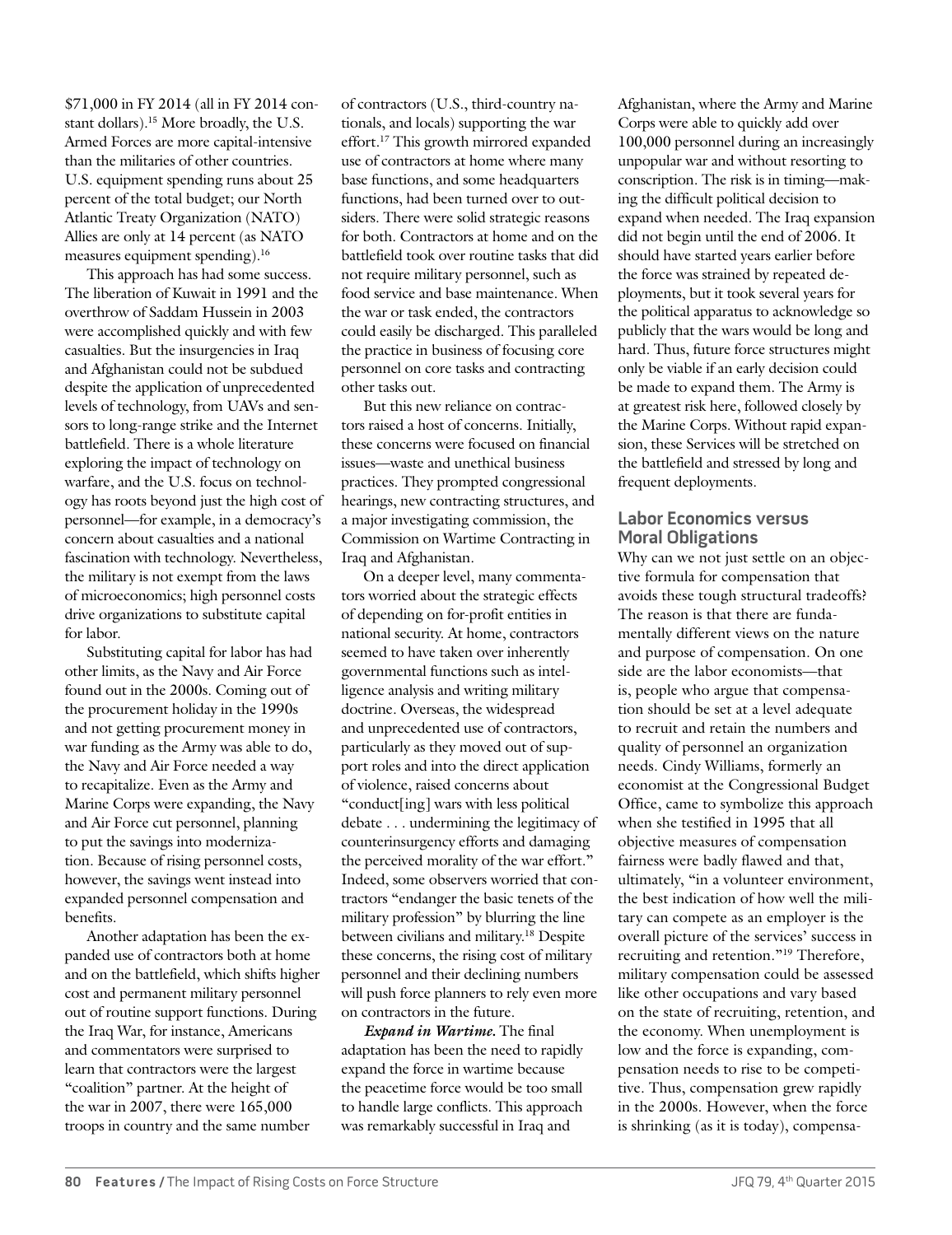\$71,000 in FY 2014 (all in FY 2014 constant dollars).15 More broadly, the U.S. Armed Forces are more capital-intensive than the militaries of other countries. U.S. equipment spending runs about 25 percent of the total budget; our North Atlantic Treaty Organization (NATO) Allies are only at 14 percent (as NATO measures equipment spending).16

This approach has had some success. The liberation of Kuwait in 1991 and the overthrow of Saddam Hussein in 2003 were accomplished quickly and with few casualties. But the insurgencies in Iraq and Afghanistan could not be subdued despite the application of unprecedented levels of technology, from UAVs and sensors to long-range strike and the Internet battlefield. There is a whole literature exploring the impact of technology on warfare, and the U.S. focus on technology has roots beyond just the high cost of personnel—for example, in a democracy's concern about casualties and a national fascination with technology. Nevertheless, the military is not exempt from the laws of microeconomics; high personnel costs drive organizations to substitute capital for labor.

Substituting capital for labor has had other limits, as the Navy and Air Force found out in the 2000s. Coming out of the procurement holiday in the 1990s and not getting procurement money in war funding as the Army was able to do, the Navy and Air Force needed a way to recapitalize. Even as the Army and Marine Corps were expanding, the Navy and Air Force cut personnel, planning to put the savings into modernization. Because of rising personnel costs, however, the savings went instead into expanded personnel compensation and benefits.

Another adaptation has been the expanded use of contractors both at home and on the battlefield, which shifts higher cost and permanent military personnel out of routine support functions. During the Iraq War, for instance, Americans and commentators were surprised to learn that contractors were the largest "coalition" partner. At the height of the war in 2007, there were 165,000 troops in country and the same number

of contractors (U.S., third-country nationals, and locals) supporting the war effort.17 This growth mirrored expanded use of contractors at home where many base functions, and some headquarters functions, had been turned over to outsiders. There were solid strategic reasons for both. Contractors at home and on the battlefield took over routine tasks that did not require military personnel, such as food service and base maintenance. When the war or task ended, the contractors could easily be discharged. This paralleled the practice in business of focusing core personnel on core tasks and contracting other tasks out.

But this new reliance on contractors raised a host of concerns. Initially, these concerns were focused on financial issues—waste and unethical business practices. They prompted congressional hearings, new contracting structures, and a major investigating commission, the Commission on Wartime Contracting in Iraq and Afghanistan.

On a deeper level, many commentators worried about the strategic effects of depending on for-profit entities in national security. At home, contractors seemed to have taken over inherently governmental functions such as intelligence analysis and writing military doctrine. Overseas, the widespread and unprecedented use of contractors, particularly as they moved out of support roles and into the direct application of violence, raised concerns about "conduct[ing] wars with less political debate . . . undermining the legitimacy of counterinsurgency efforts and damaging the perceived morality of the war effort." Indeed, some observers worried that contractors "endanger the basic tenets of the military profession" by blurring the line between civilians and military.<sup>18</sup> Despite these concerns, the rising cost of military personnel and their declining numbers will push force planners to rely even more on contractors in the future.

*Expand in Wartime.* The final adaptation has been the need to rapidly expand the force in wartime because the peacetime force would be too small to handle large conflicts. This approach was remarkably successful in Iraq and

Afghanistan, where the Army and Marine Corps were able to quickly add over 100,000 personnel during an increasingly unpopular war and without resorting to conscription. The risk is in timing—making the difficult political decision to expand when needed. The Iraq expansion did not begin until the end of 2006. It should have started years earlier before the force was strained by repeated deployments, but it took several years for the political apparatus to acknowledge so publicly that the wars would be long and hard. Thus, future force structures might only be viable if an early decision could be made to expand them. The Army is at greatest risk here, followed closely by the Marine Corps. Without rapid expansion, these Services will be stretched on the battlefield and stressed by long and frequent deployments.

## **Labor Economics versus Moral Obligations**

Why can we not just settle on an objective formula for compensation that avoids these tough structural tradeoffs? The reason is that there are fundamentally different views on the nature and purpose of compensation. On one side are the labor economists—that is, people who argue that compensation should be set at a level adequate to recruit and retain the numbers and quality of personnel an organization needs. Cindy Williams, formerly an economist at the Congressional Budget Office, came to symbolize this approach when she testified in 1995 that all objective measures of compensation fairness were badly flawed and that, ultimately, "in a volunteer environment, the best indication of how well the military can compete as an employer is the overall picture of the services' success in recruiting and retention."19 Therefore, military compensation could be assessed like other occupations and vary based on the state of recruiting, retention, and the economy. When unemployment is low and the force is expanding, compensation needs to rise to be competitive. Thus, compensation grew rapidly in the 2000s. However, when the force is shrinking (as it is today), compensa-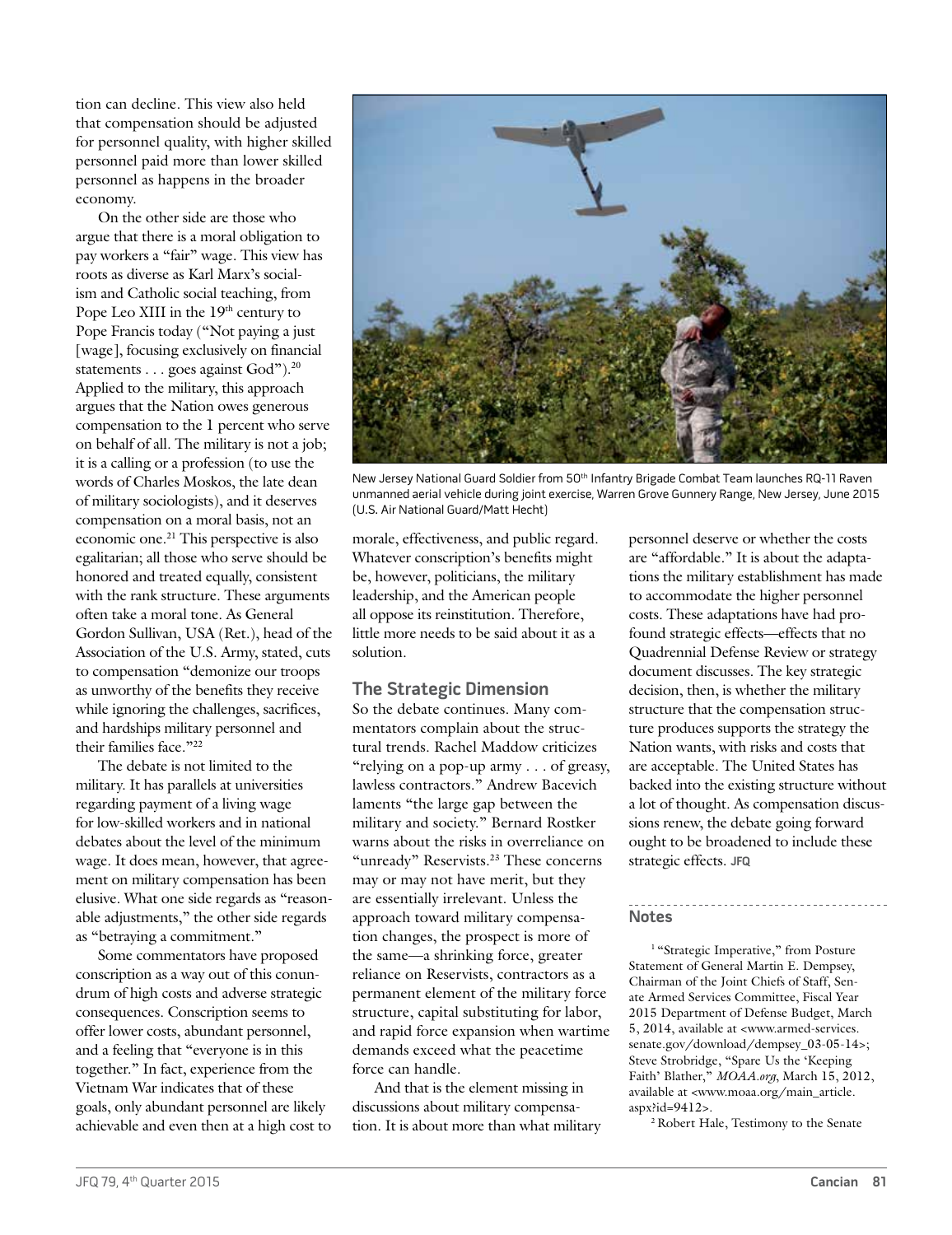tion can decline. This view also held that compensation should be adjusted for personnel quality, with higher skilled personnel paid more than lower skilled personnel as happens in the broader economy.

On the other side are those who argue that there is a moral obligation to pay workers a "fair" wage. This view has roots as diverse as Karl Marx's socialism and Catholic social teaching, from Pope Leo XIII in the  $19<sup>th</sup>$  century to Pope Francis today ("Not paying a just [wage], focusing exclusively on financial statements . . . goes against God").<sup>20</sup> Applied to the military, this approach argues that the Nation owes generous compensation to the 1 percent who serve on behalf of all. The military is not a job; it is a calling or a profession (to use the words of Charles Moskos, the late dean of military sociologists), and it deserves compensation on a moral basis, not an economic one.21 This perspective is also egalitarian; all those who serve should be honored and treated equally, consistent with the rank structure. These arguments often take a moral tone. As General Gordon Sullivan, USA (Ret.), head of the Association of the U.S. Army, stated, cuts to compensation "demonize our troops as unworthy of the benefits they receive while ignoring the challenges, sacrifices, and hardships military personnel and their families face."22

The debate is not limited to the military. It has parallels at universities regarding payment of a living wage for low-skilled workers and in national debates about the level of the minimum wage. It does mean, however, that agreement on military compensation has been elusive. What one side regards as "reasonable adjustments," the other side regards as "betraying a commitment."

Some commentators have proposed conscription as a way out of this conundrum of high costs and adverse strategic consequences. Conscription seems to offer lower costs, abundant personnel, and a feeling that "everyone is in this together." In fact, experience from the Vietnam War indicates that of these goals, only abundant personnel are likely achievable and even then at a high cost to

![](_page_4_Picture_4.jpeg)

New Jersey National Guard Soldier from 50th Infantry Brigade Combat Team launches RQ-11 Raven unmanned aerial vehicle during joint exercise, Warren Grove Gunnery Range, New Jersey, June 2015 (U.S. Air National Guard/Matt Hecht)

morale, effectiveness, and public regard. Whatever conscription's benefits might be, however, politicians, the military leadership, and the American people all oppose its reinstitution. Therefore, little more needs to be said about it as a solution.

## **The Strategic Dimension**

So the debate continues. Many commentators complain about the structural trends. Rachel Maddow criticizes "relying on a pop-up army . . . of greasy, lawless contractors." Andrew Bacevich laments "the large gap between the military and society." Bernard Rostker warns about the risks in overreliance on "unready" Reservists.23 These concerns may or may not have merit, but they are essentially irrelevant. Unless the approach toward military compensation changes, the prospect is more of the same—a shrinking force, greater reliance on Reservists, contractors as a permanent element of the military force structure, capital substituting for labor, and rapid force expansion when wartime demands exceed what the peacetime force can handle.

And that is the element missing in discussions about military compensation. It is about more than what military personnel deserve or whether the costs are "affordable." It is about the adaptations the military establishment has made to accommodate the higher personnel costs. These adaptations have had profound strategic effects—effects that no Quadrennial Defense Review or strategy document discusses. The key strategic decision, then, is whether the military structure that the compensation structure produces supports the strategy the Nation wants, with risks and costs that are acceptable. The United States has backed into the existing structure without a lot of thought. As compensation discussions renew, the debate going forward ought to be broadened to include these strategic effects. **JFQ**

### **Notes**

<sup>1</sup> "Strategic Imperative," from Posture Statement of General Martin E. Dempsey, Chairman of the Joint Chiefs of Staff, Senate Armed Services Committee, Fiscal Year 2015 Department of Defense Budget, March 5, 2014, available at <www.armed-services. senate.gov/download/dempsey\_03-05-14>; Steve Strobridge, "Spare Us the 'Keeping Faith' Blather," *MOAA.org*, March 15, 2012, available at <www.moaa.org/main\_article. aspx?id=9412>.

2 Robert Hale, Testimony to the Senate